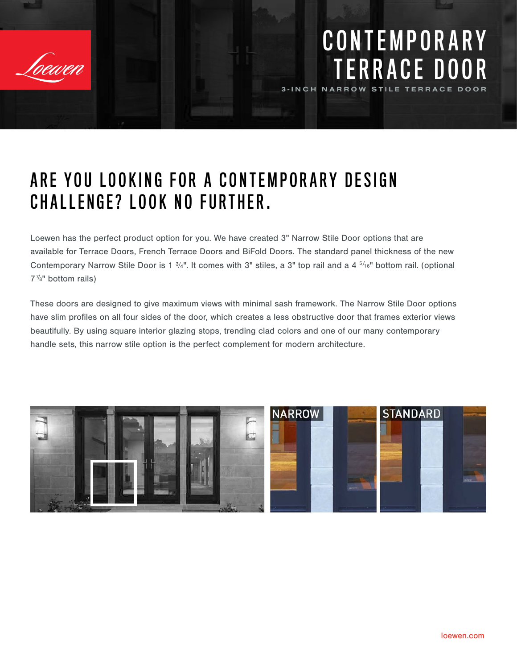

### C O N T E M P O R A R Y TERRACE DOOR 3-INCH NARROW STILE TERRACE DOOR

## ARE YOU LOOKING FOR A CONTEMPORARY DESIGN CHALLENGE? LOOK NO FURTHER.

Loewen has the perfect product option for you. We have created 3" Narrow Stile Door options that are available for Terrace Doors, French Terrace Doors and BiFold Doors. The standard panel thickness of the new Contemporary Narrow Stile Door is 1 3/4". It comes with 3" stiles, a 3" top rail and a 4 <sup>5/16"</sup> bottom rail. (optional  $7\frac{7}{8}$ " bottom rails)

These doors are designed to give maximum views with minimal sash framework. The Narrow Stile Door options have slim profiles on all four sides of the door, which creates a less obstructive door that frames exterior views beautifully. By using square interior glazing stops, trending clad colors and one of our many contemporary handle sets, this narrow stile option is the perfect complement for modern architecture.

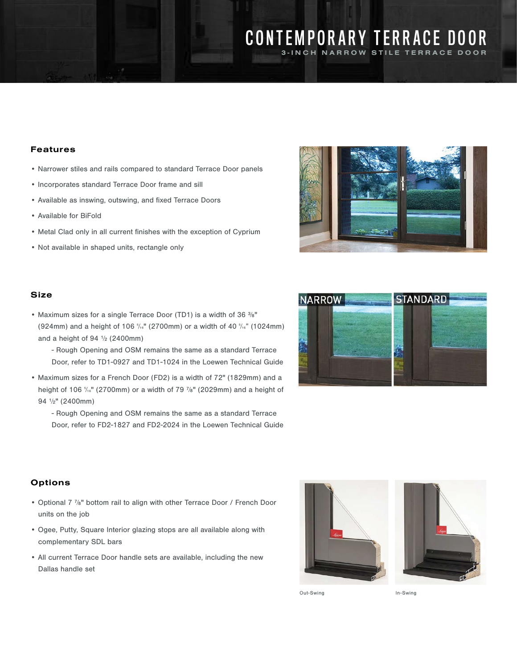### CONTEMPORARY TERRACE DOOR 3-INCH NARROW STILE TERRACE DOOR

Features

- Narrower stiles and rails compared to standard Terrace Door panels
- Incorporates standard Terrace Door frame and sill
- Available as inswing, outswing, and fixed Terrace Doors
- Available for BiFold
- Metal Clad only in all current finishes with the exception of Cyprium
- Not available in shaped units, rectangle only



#### Size

- Maximum sizes for a single Terrace Door (TD1) is a width of 36 3/8" (924mm) and a height of 106  $\frac{5}{16}$ " (2700mm) or a width of 40  $\frac{5}{16}$ " (1024mm) and a height of  $94 \frac{1}{2}$  (2400mm)
	- Rough Opening and OSM remains the same as a standard Terrace Door, refer to TD1-0927 and TD1-1024 in the Loewen Technical Guide
- Maximum sizes for a French Door (FD2) is a width of 72" (1829mm) and a height of 106 %" (2700mm) or a width of 79 %" (2029mm) and a height of 94 1/2" (2400mm)
	- Rough Opening and OSM remains the same as a standard Terrace Door, refer to FD2-1827 and FD2-2024 in the Loewen Technical Guide



#### **Options**

- Optional 7 7/8" bottom rail to align with other Terrace Door / French Door units on the job
- Ogee, Putty, Square Interior glazing stops are all available along with complementary SDL bars
- All current Terrace Door handle sets are available, including the new Dallas handle set





Out-Swing In-Swing